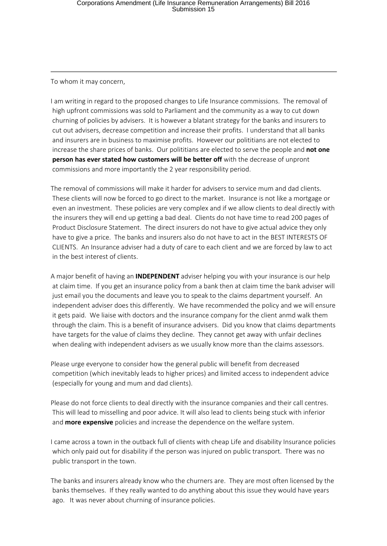To whom it may concern,

I am writing in regard to the proposed changes to Life Insurance commissions. The removal of high upfront commissions was sold to Parliament and the community as a way to cut down churning of policies by advisers. It is however a blatant strategy for the banks and insurers to cut out advisers, decrease competition and increase their profits. I understand that all banks and insurers are in business to maximise profits. However our polititians are not elected to increase the share prices of banks. Our polititians are elected to serve the people and **not one person has ever stated how customers will be better off** with the decrease of unpront commissions and more importantly the 2 year responsibility period.

The removal of commissions will make it harder for advisers to service mum and dad clients. These clients will now be forced to go direct to the market. Insurance is not like a mortgage or even an investment. These policies are very complex and if we allow clients to deal directly with the insurers they will end up getting a bad deal. Clients do not have time to read 200 pages of Product Disclosure Statement. The direct insurers do not have to give actual advice they only have to give a price. The banks and insurers also do not have to act in the BEST INTERESTS OF CLIENTS. An Insurance adviser had a duty of care to each client and we are forced by law to act in the best interest of clients.

A major benefit of having an **INDEPENDENT** adviser helping you with your insurance is our help at claim time. If you get an insurance policy from a bank then at claim time the bank adviser will just email you the documents and leave you to speak to the claims department yourself. An independent adviser does this differently. We have recommended the policy and we will ensure it gets paid. We liaise with doctors and the insurance company for the client anmd walk them through the claim. This is a benefit of insurance advisers. Did you know that claims departments have targets for the value of claims they decline. They cannot get away with unfair declines when dealing with independent advisers as we usually know more than the claims assessors.

Please urge everyone to consider how the general public will benefit from decreased competition (which inevitably leads to higher prices) and limited access to independent advice (especially for young and mum and dad clients).

Please do not force clients to deal directly with the insurance companies and their call centres. This will lead to misselling and poor advice. It will also lead to clients being stuck with inferior and **more expensive** policies and increase the dependence on the welfare system.

I came across a town in the outback full of clients with cheap Life and disability Insurance policies which only paid out for disability if the person was injured on public transport. There was no public transport in the town.

The banks and insurers already know who the churners are. They are most often licensed by the banks themselves. If they really wanted to do anything about this issue they would have years ago. It was never about churning of insurance policies.